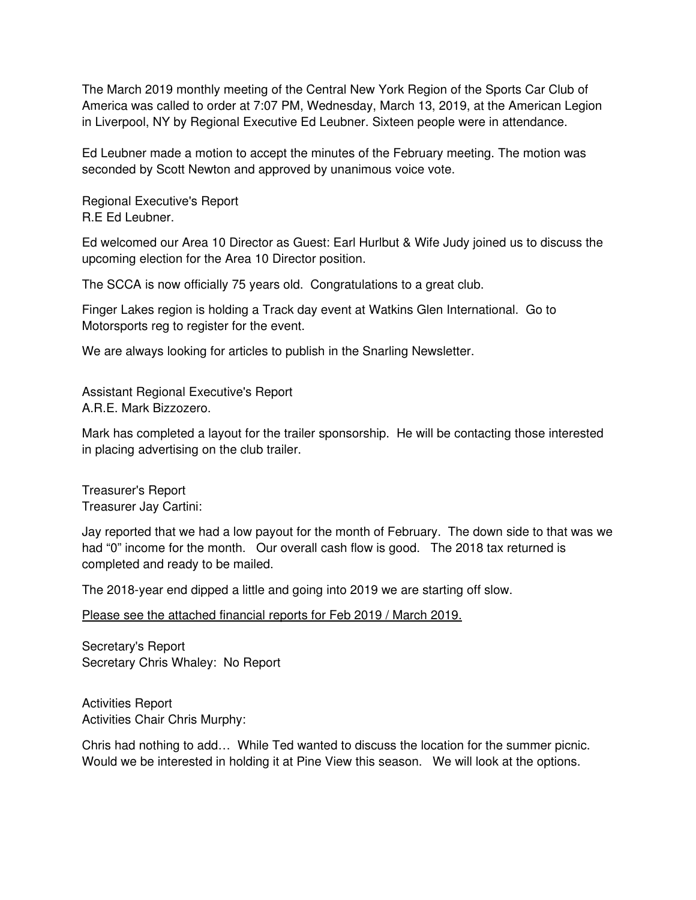The March 2019 monthly meeting of the Central New York Region of the Sports Car Club of America was called to order at 7:07 PM, Wednesday, March 13, 2019, at the American Legion in Liverpool, NY by Regional Executive Ed Leubner. Sixteen people were in attendance.

Ed Leubner made a motion to accept the minutes of the February meeting. The motion was seconded by Scott Newton and approved by unanimous voice vote.

Regional Executive's Report R.E Ed Leubner.

Ed welcomed our Area 10 Director as Guest: Earl Hurlbut & Wife Judy joined us to discuss the upcoming election for the Area 10 Director position.

The SCCA is now officially 75 years old. Congratulations to a great club.

Finger Lakes region is holding a Track day event at Watkins Glen International. Go to Motorsports reg to register for the event.

We are always looking for articles to publish in the Snarling Newsletter.

Assistant Regional Executive's Report A.R.E. Mark Bizzozero.

Mark has completed a layout for the trailer sponsorship. He will be contacting those interested in placing advertising on the club trailer.

Treasurer's Report Treasurer Jay Cartini:

Jay reported that we had a low payout for the month of February. The down side to that was we had "0" income for the month. Our overall cash flow is good. The 2018 tax returned is completed and ready to be mailed.

The 2018-year end dipped a little and going into 2019 we are starting off slow.

Please see the attached financial reports for Feb 2019 / March 2019.

Secretary's Report Secretary Chris Whaley: No Report

Activities Report Activities Chair Chris Murphy:

Chris had nothing to add… While Ted wanted to discuss the location for the summer picnic. Would we be interested in holding it at Pine View this season. We will look at the options.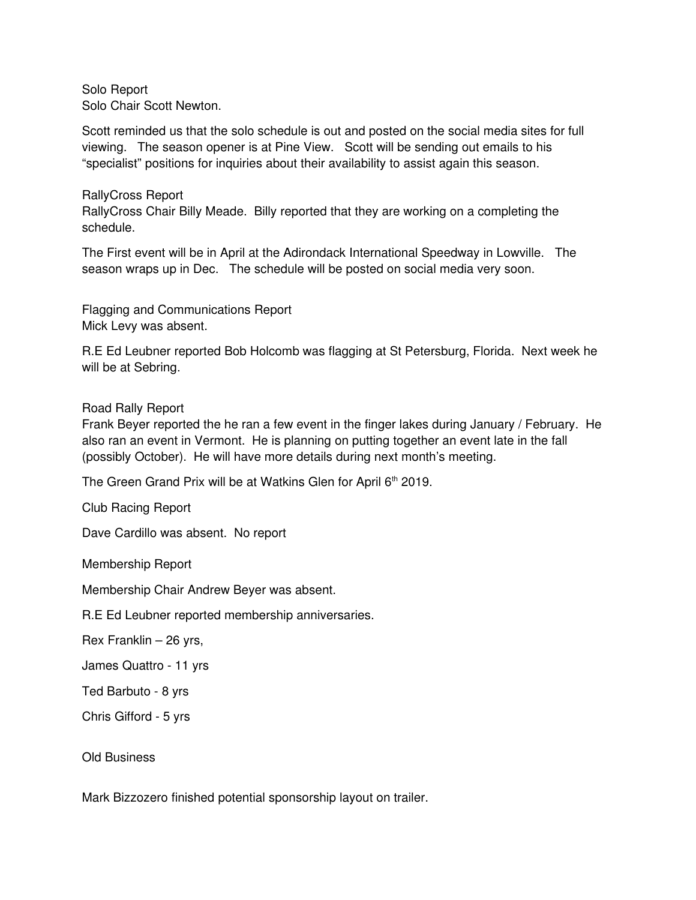Solo Report Solo Chair Scott Newton.

Scott reminded us that the solo schedule is out and posted on the social media sites for full viewing. The season opener is at Pine View. Scott will be sending out emails to his "specialist" positions for inquiries about their availability to assist again this season.

RallyCross Report RallyCross Chair Billy Meade. Billy reported that they are working on a completing the schedule.

The First event will be in April at the Adirondack International Speedway in Lowville. The season wraps up in Dec. The schedule will be posted on social media very soon.

Flagging and Communications Report Mick Levy was absent.

R.E Ed Leubner reported Bob Holcomb was flagging at St Petersburg, Florida. Next week he will be at Sebring.

## Road Rally Report

Frank Beyer reported the he ran a few event in the finger lakes during January / February. He also ran an event in Vermont. He is planning on putting together an event late in the fall (possibly October). He will have more details during next month's meeting.

The Green Grand Prix will be at Watkins Glen for April 6<sup>th</sup> 2019.

Club Racing Report

Dave Cardillo was absent. No report

Membership Report

Membership Chair Andrew Beyer was absent.

R.E Ed Leubner reported membership anniversaries.

Rex Franklin – 26 yrs,

James Quattro - 11 yrs

Ted Barbuto - 8 yrs

Chris Gifford - 5 yrs

Old Business

Mark Bizzozero finished potential sponsorship layout on trailer.